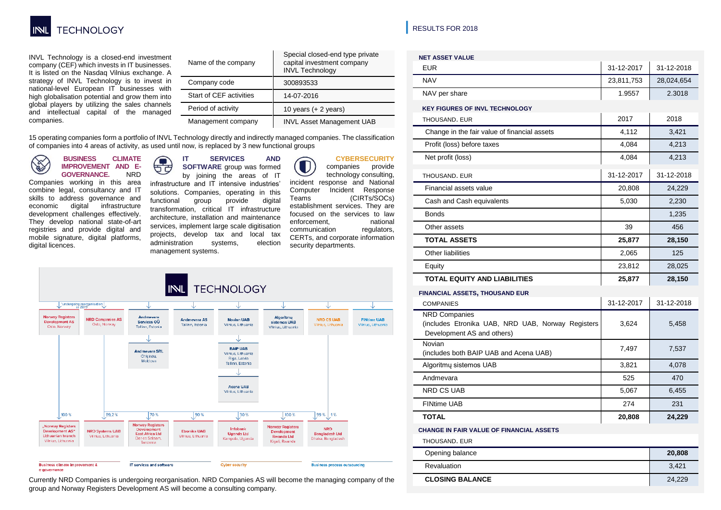

INVL Technology is a closed-end investment company (CEF) which invests in IT businesses. It is listed on the Nasdaq Vilnius exchange. A strategy of INVL Technology is to invest in national-level European IT businesses with high globalisation potential and grow them into global players by utilizing the sales channels and intellectual capital of the managed companies.

| Name of the company     | Special closed-end type private<br>capital investment company<br><b>INVL Technology</b> |
|-------------------------|-----------------------------------------------------------------------------------------|
| Company code            | 300893533                                                                               |
| Start of CEF activities | 14-07-2016                                                                              |
| Period of activity      | 10 years $(+ 2$ years)                                                                  |
| Management company      | <b>INVL Asset Management UAB</b>                                                        |

15 operating companies form a portfolio of INVL Technology directly and indirectly managed companies. The classification of companies into 4 areas of activity, as used until now, is replaced by 3 new functional groups

**BUSINESS CLIMATE Contract IMPROVEMENT AND E-GOVERNANCE.** NRD

digital licences.

Companies working in this area combine legal, consultancy and IT skills to address governance and<br>economic digital infrastructure digital infrastructure development challenges effectively. They develop national state-of-art registries and provide digital and mobile signature, digital platforms,

#### **IT SERVICES AND**   $\sqrt{2}$ **SOFTWARE** group was formed

ਚੱਰ by joining the areas of IT infrastructure and IT intensive industries' solutions. Companies, operating in this functional group provide digital transformation, critical IT infrastructure architecture, installation and maintenance services, implement large scale digitisation projects, develop tax and local tax administration systems, election management systems.

# **CYBERSECURITY**

companies provide technology consulting, incident response and National Computer Incident Response<br>Teams (CIRTs/SOCs) (CIRTs/SOCs) establishment services. They are focused on the services to law<br>enforcement. antional enforcement, national<br>communication regulators. communication CERTs, and corporate information security departments.



Currently NRD Companies is undergoing reorganisation. NRD Companies AS will become the managing company of the group and Norway Registers Development AS will become a consulting company.

**|** RESULTS FOR 2018

| <b>NET ASSET VALUE</b>                                                                                  |            |            |  |
|---------------------------------------------------------------------------------------------------------|------------|------------|--|
| <b>EUR</b>                                                                                              | 31-12-2017 | 31-12-2018 |  |
| <b>NAV</b>                                                                                              | 23,811,753 | 28,024,654 |  |
| NAV per share                                                                                           | 1.9557     | 2.3018     |  |
| <b>KEY FIGURES OF INVL TECHNOLOGY</b>                                                                   |            |            |  |
| THOUSAND, EUR                                                                                           | 2017       | 2018       |  |
| Change in the fair value of financial assets                                                            | 4,112      | 3,421      |  |
| Profit (loss) before taxes                                                                              | 4,084      | 4,213      |  |
| Net profit (loss)                                                                                       | 4,084      | 4,213      |  |
| THOUSAND, EUR                                                                                           | 31-12-2017 | 31-12-2018 |  |
| Financial assets value                                                                                  | 20,808     | 24,229     |  |
| Cash and Cash equivalents                                                                               | 5,030      | 2,230      |  |
| <b>Bonds</b>                                                                                            |            | 1,235      |  |
| Other assets                                                                                            | 39         | 456        |  |
| <b>TOTAL ASSETS</b>                                                                                     | 25,877     | 28,150     |  |
| Other liabilities                                                                                       | 2,065      | 125        |  |
| Equity                                                                                                  | 23,812     | 28,025     |  |
| <b>TOTAL EQUITY AND LIABILITIES</b>                                                                     | 25,877     | 28,150     |  |
| FINANCIAL ASSETS, THOUSAND EUR                                                                          |            |            |  |
| <b>COMPANIES</b>                                                                                        | 31-12-2017 | 31-12-2018 |  |
| <b>NRD Companies</b><br>(includes Etronika UAB, NRD UAB, Norway Registers<br>Development AS and others) | 3,624      | 5,458      |  |
| Novian<br>(includes both BAIP UAB and Acena UAB)                                                        | 7,497      | 7,537      |  |
| Algoritmy sistemos UAB                                                                                  | 3,821      | 4,078      |  |
| Andmevara                                                                                               | 525        | 470        |  |
| <b>NRD CS UAB</b>                                                                                       | 5,067      | 6,455      |  |
| <b>FINtime UAB</b>                                                                                      | 274        | 231        |  |
| <b>TOTAL</b>                                                                                            | 20,808     | 24,229     |  |
| <b>CHANGE IN FAIR VALUE OF FINANCIAL ASSETS</b>                                                         |            |            |  |
| THOUSAND. EUR                                                                                           |            |            |  |
| Opening balance                                                                                         |            | 20,808     |  |
| Revaluation                                                                                             | 3,421      |            |  |
| <b>CLOSING BALANCE</b>                                                                                  | 24,229     |            |  |